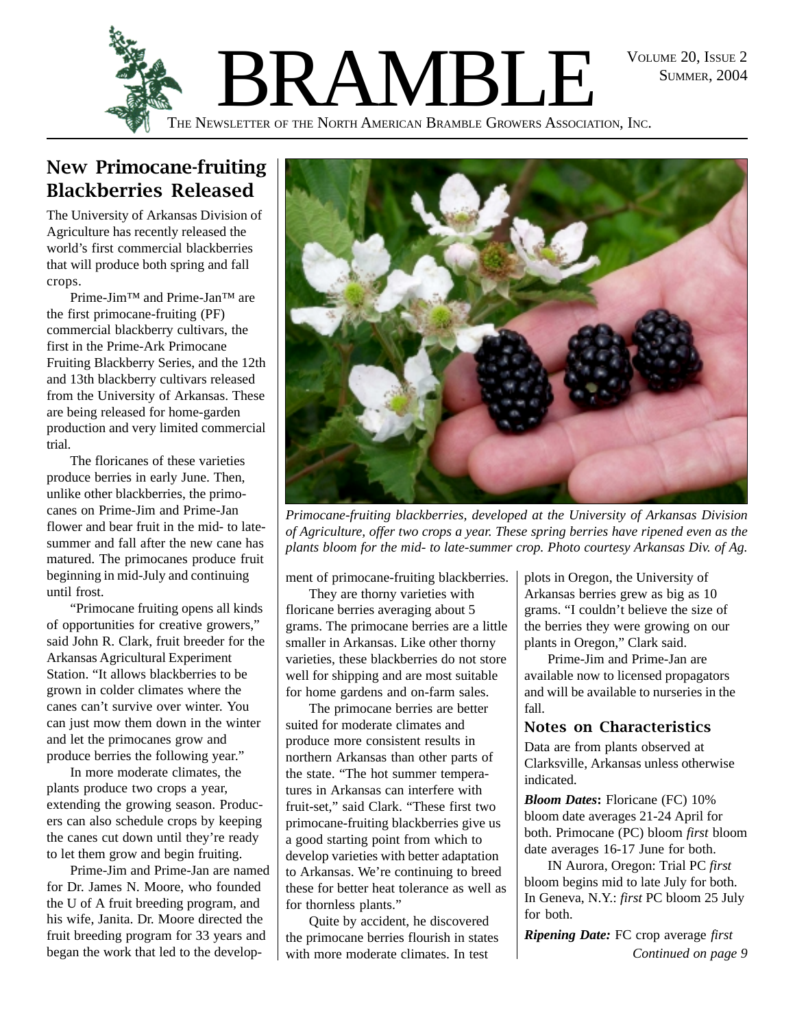SUMMER, 2004



### New Primocane-fruiting Blackberries Released

The University of Arkansas Division of Agriculture has recently released the world's first commercial blackberries that will produce both spring and fall crops.

Prime-Jim™ and Prime-Jan™ are the first primocane-fruiting (PF) commercial blackberry cultivars, the first in the Prime-Ark Primocane Fruiting Blackberry Series, and the 12th and 13th blackberry cultivars released from the University of Arkansas. These are being released for home-garden production and very limited commercial trial.

The floricanes of these varieties produce berries in early June. Then, unlike other blackberries, the primocanes on Prime-Jim and Prime-Jan flower and bear fruit in the mid- to latesummer and fall after the new cane has matured. The primocanes produce fruit beginning in mid-July and continuing until frost.

"Primocane fruiting opens all kinds of opportunities for creative growers," said John R. Clark, fruit breeder for the Arkansas Agricultural Experiment Station. "It allows blackberries to be grown in colder climates where the canes can't survive over winter. You can just mow them down in the winter and let the primocanes grow and produce berries the following year."

In more moderate climates, the plants produce two crops a year, extending the growing season. Producers can also schedule crops by keeping the canes cut down until they're ready to let them grow and begin fruiting.

Prime-Jim and Prime-Jan are named for Dr. James N. Moore, who founded the U of A fruit breeding program, and his wife, Janita. Dr. Moore directed the fruit breeding program for 33 years and began the work that led to the develop-



*Primocane-fruiting blackberries, developed at the University of Arkansas Division of Agriculture, offer two crops a year. These spring berries have ripened even as the plants bloom for the mid- to late-summer crop. Photo courtesy Arkansas Div. of Ag.*

ment of primocane-fruiting blackberries.

They are thorny varieties with floricane berries averaging about 5 grams. The primocane berries are a little smaller in Arkansas. Like other thorny varieties, these blackberries do not store well for shipping and are most suitable for home gardens and on-farm sales.

The primocane berries are better suited for moderate climates and produce more consistent results in northern Arkansas than other parts of the state. "The hot summer temperatures in Arkansas can interfere with fruit-set," said Clark. "These first two primocane-fruiting blackberries give us a good starting point from which to develop varieties with better adaptation to Arkansas. We're continuing to breed these for better heat tolerance as well as for thornless plants."

Quite by accident, he discovered the primocane berries flourish in states with more moderate climates. In test

plots in Oregon, the University of Arkansas berries grew as big as 10 grams. "I couldn't believe the size of the berries they were growing on our plants in Oregon," Clark said.

Prime-Jim and Prime-Jan are available now to licensed propagators and will be available to nurseries in the fall.

#### Notes on Characteristics

Data are from plants observed at Clarksville, Arkansas unless otherwise indicated.

*Bloom Dates***:** Floricane (FC) 10% bloom date averages 21-24 April for both. Primocane (PC) bloom *first* bloom date averages 16-17 June for both.

IN Aurora, Oregon: Trial PC *first* bloom begins mid to late July for both. In Geneva, N.Y.: *first* PC bloom 25 July for both.

*Ripening Date:* FC crop average *first Continued on page 9*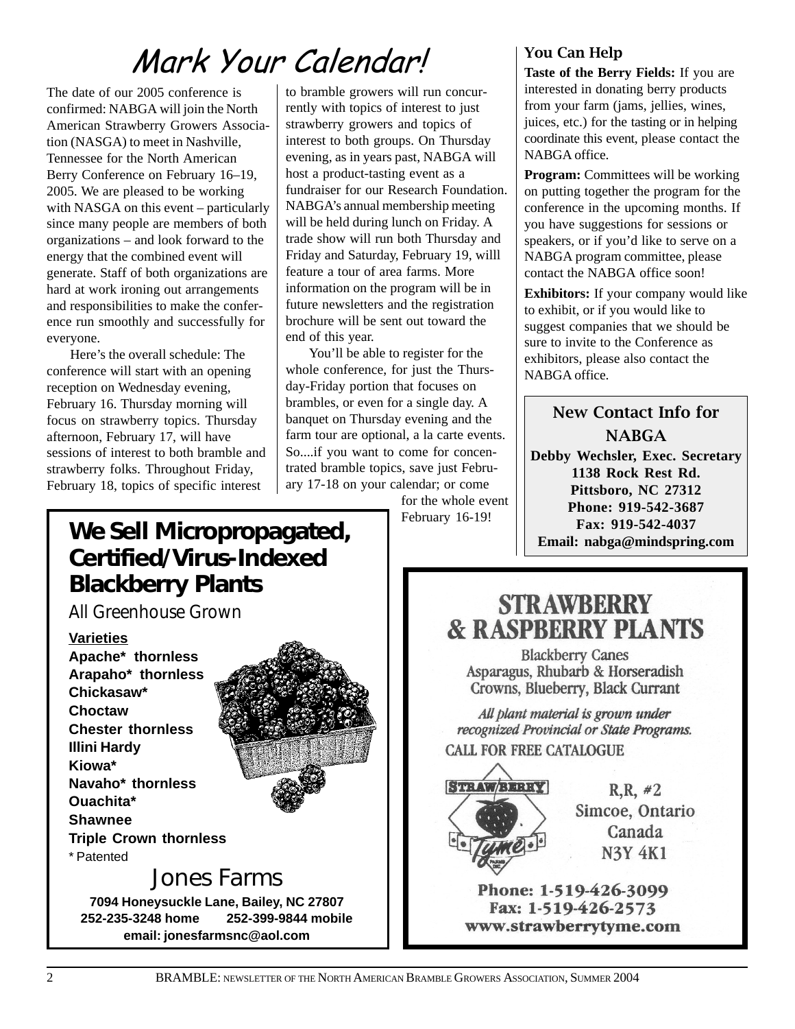# Mark Your Calendar!

The date of our 2005 conference is confirmed: NABGA will join the North American Strawberry Growers Association (NASGA) to meet in Nashville, Tennessee for the North American Berry Conference on February 16–19, 2005. We are pleased to be working with NASGA on this event – particularly since many people are members of both organizations – and look forward to the energy that the combined event will generate. Staff of both organizations are hard at work ironing out arrangements and responsibilities to make the conference run smoothly and successfully for everyone.

Here's the overall schedule: The conference will start with an opening reception on Wednesday evening, February 16. Thursday morning will focus on strawberry topics. Thursday afternoon, February 17, will have sessions of interest to both bramble and strawberry folks. Throughout Friday, February 18, topics of specific interest

to bramble growers will run concurrently with topics of interest to just strawberry growers and topics of interest to both groups. On Thursday evening, as in years past, NABGA will host a product-tasting event as a fundraiser for our Research Foundation. NABGA's annual membership meeting will be held during lunch on Friday. A trade show will run both Thursday and Friday and Saturday, February 19, willl feature a tour of area farms. More information on the program will be in future newsletters and the registration brochure will be sent out toward the end of this year.

You'll be able to register for the whole conference, for just the Thursday-Friday portion that focuses on brambles, or even for a single day. A banquet on Thursday evening and the farm tour are optional, a la carte events. So....if you want to come for concentrated bramble topics, save just February 17-18 on your calendar; or come

for the whole event February 16-19!

#### You Can Help

**Taste of the Berry Fields:** If you are interested in donating berry products from your farm (jams, jellies, wines, juices, etc.) for the tasting or in helping coordinate this event, please contact the NABGA office.

**Program:** Committees will be working on putting together the program for the conference in the upcoming months. If you have suggestions for sessions or speakers, or if you'd like to serve on a NABGA program committee, please contact the NABGA office soon!

**Exhibitors:** If your company would like to exhibit, or if you would like to suggest companies that we should be sure to invite to the Conference as exhibitors, please also contact the NABGA office.

#### New Contact Info for **NABGA**

**Debby Wechsler, Exec. Secretary 1138 Rock Rest Rd. Pittsboro, NC 27312 Phone: 919-542-3687 Fax: 919-542-4037 Email: nabga@mindspring.com**

### **We Sell Micropropagated, Certified/Virus-Indexed Blackberry Plants**

**7094 Honeysuckle Lane, Bailey, NC 27807 252-235-3248 home 252-399-9844 mobile email: jonesfarmsnc@aol.com**

*All Greenhouse Grown*

**Varieties Apache\* thornless Arapaho\* thornless Chickasaw\* Choctaw Chester thornless Illini Hardy Kiowa\* Navaho\* thornless Ouachita\* Shawnee Triple Crown thornless** \* Patented Jones Farms



## **STRAWBERRY & RASPBERRY PLANTS**

**Blackberry Canes** Asparagus, Rhubarb & Horseradish Crowns, Blueberry, Black Currant

All plant material is grown under recognized Provincial or State Programs. **CALL FOR FREE CATALOGUE** 



 $R, R, #2$ Simcoe, Ontario Canada **N3Y 4K1** 

Phone: 1-519-426-3099 Fax: 1-519-426-2573 www.strawberrytyme.com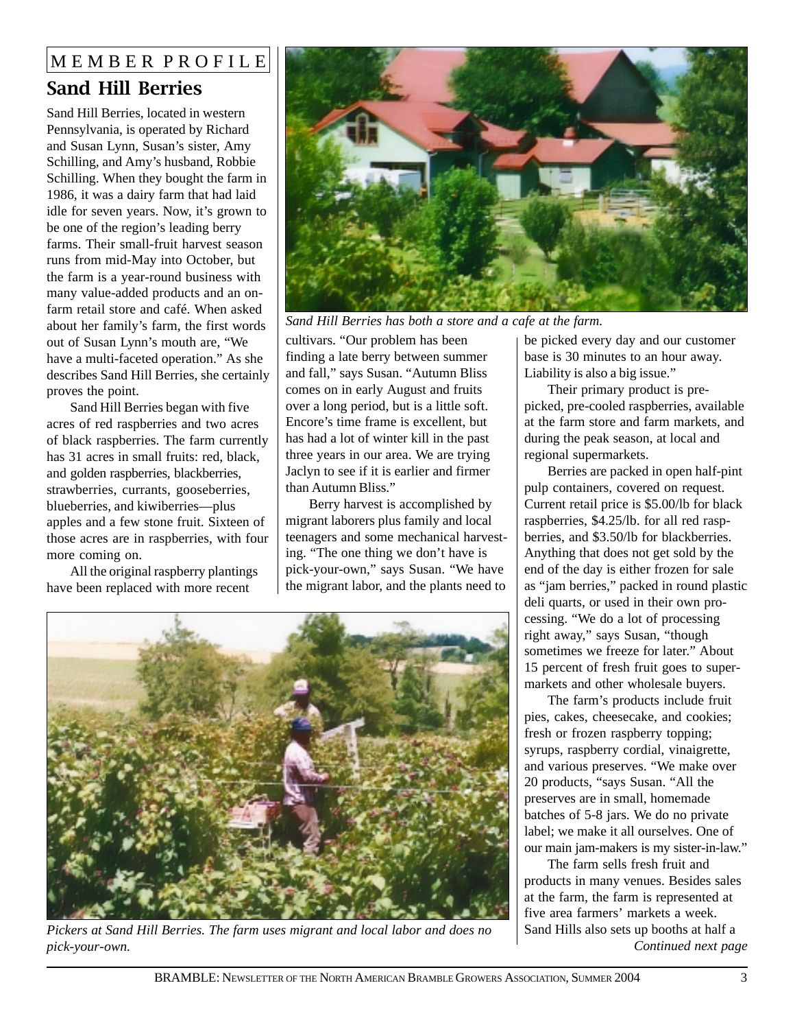### MEMBER PROFILE Sand Hill Berries

Sand Hill Berries, located in western Pennsylvania, is operated by Richard and Susan Lynn, Susan's sister, Amy Schilling, and Amy's husband, Robbie Schilling. When they bought the farm in 1986, it was a dairy farm that had laid idle for seven years. Now, it's grown to be one of the region's leading berry farms. Their small-fruit harvest season runs from mid-May into October, but the farm is a year-round business with many value-added products and an onfarm retail store and café. When asked about her family's farm, the first words out of Susan Lynn's mouth are, "We have a multi-faceted operation." As she describes Sand Hill Berries, she certainly proves the point.

Sand Hill Berries began with five acres of red raspberries and two acres of black raspberries. The farm currently has 31 acres in small fruits: red, black, and golden raspberries, blackberries, strawberries, currants, gooseberries, blueberries, and kiwiberries—plus apples and a few stone fruit. Sixteen of those acres are in raspberries, with four more coming on.

All the original raspberry plantings have been replaced with more recent



*Sand Hill Berries has both a store and a cafe at the farm.*

cultivars. "Our problem has been finding a late berry between summer and fall," says Susan. "Autumn Bliss comes on in early August and fruits over a long period, but is a little soft. Encore's time frame is excellent, but has had a lot of winter kill in the past three years in our area. We are trying Jaclyn to see if it is earlier and firmer than Autumn Bliss."

Berry harvest is accomplished by migrant laborers plus family and local teenagers and some mechanical harvesting. "The one thing we don't have is pick-your-own," says Susan. "We have the migrant labor, and the plants need to



*Pickers at Sand Hill Berries. The farm uses migrant and local labor and does no* Sand Hills also sets up booths at half a *pick-your-own.*

be picked every day and our customer base is 30 minutes to an hour away. Liability is also a big issue."

Their primary product is prepicked, pre-cooled raspberries, available at the farm store and farm markets, and during the peak season, at local and regional supermarkets.

Berries are packed in open half-pint pulp containers, covered on request. Current retail price is \$5.00/lb for black raspberries, \$4.25/lb. for all red raspberries, and \$3.50/lb for blackberries. Anything that does not get sold by the end of the day is either frozen for sale as "jam berries," packed in round plastic deli quarts, or used in their own processing. "We do a lot of processing right away," says Susan, "though sometimes we freeze for later." About 15 percent of fresh fruit goes to supermarkets and other wholesale buyers.

The farm's products include fruit pies, cakes, cheesecake, and cookies; fresh or frozen raspberry topping; syrups, raspberry cordial, vinaigrette, and various preserves. "We make over 20 products, "says Susan. "All the preserves are in small, homemade batches of 5-8 jars. We do no private label; we make it all ourselves. One of our main jam-makers is my sister-in-law."

*Continued next page* The farm sells fresh fruit and products in many venues. Besides sales at the farm, the farm is represented at five area farmers' markets a week.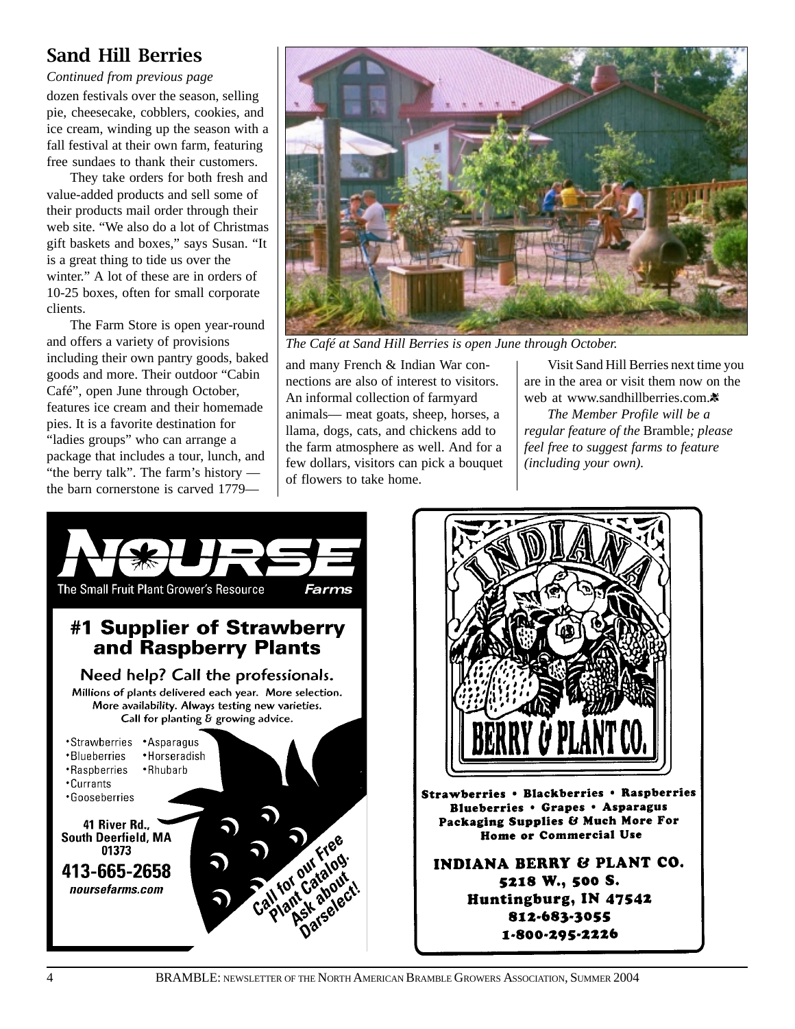### Sand Hill Berries

*Continued from previous page*

dozen festivals over the season, selling pie, cheesecake, cobblers, cookies, and ice cream, winding up the season with a fall festival at their own farm, featuring free sundaes to thank their customers.

They take orders for both fresh and value-added products and sell some of their products mail order through their web site. "We also do a lot of Christmas gift baskets and boxes," says Susan. "It is a great thing to tide us over the winter." A lot of these are in orders of 10-25 boxes, often for small corporate clients.

The Farm Store is open year-round and offers a variety of provisions including their own pantry goods, baked goods and more. Their outdoor "Cabin Café", open June through October, features ice cream and their homemade pies. It is a favorite destination for "ladies groups" who can arrange a package that includes a tour, lunch, and "the berry talk". The farm's history the barn cornerstone is carved 1779—



*The Café at Sand Hill Berries is open June through October.*

and many French & Indian War connections are also of interest to visitors. An informal collection of farmyard animals— meat goats, sheep, horses, a llama, dogs, cats, and chickens add to the farm atmosphere as well. And for a few dollars, visitors can pick a bouquet of flowers to take home.

Visit Sand Hill Berries next time you are in the area or visit them now on the web at www.sandhillberries.com.※

*The Member Profile will be a regular feature of the* Bramble*; please feel free to suggest farms to feature (including your own).*



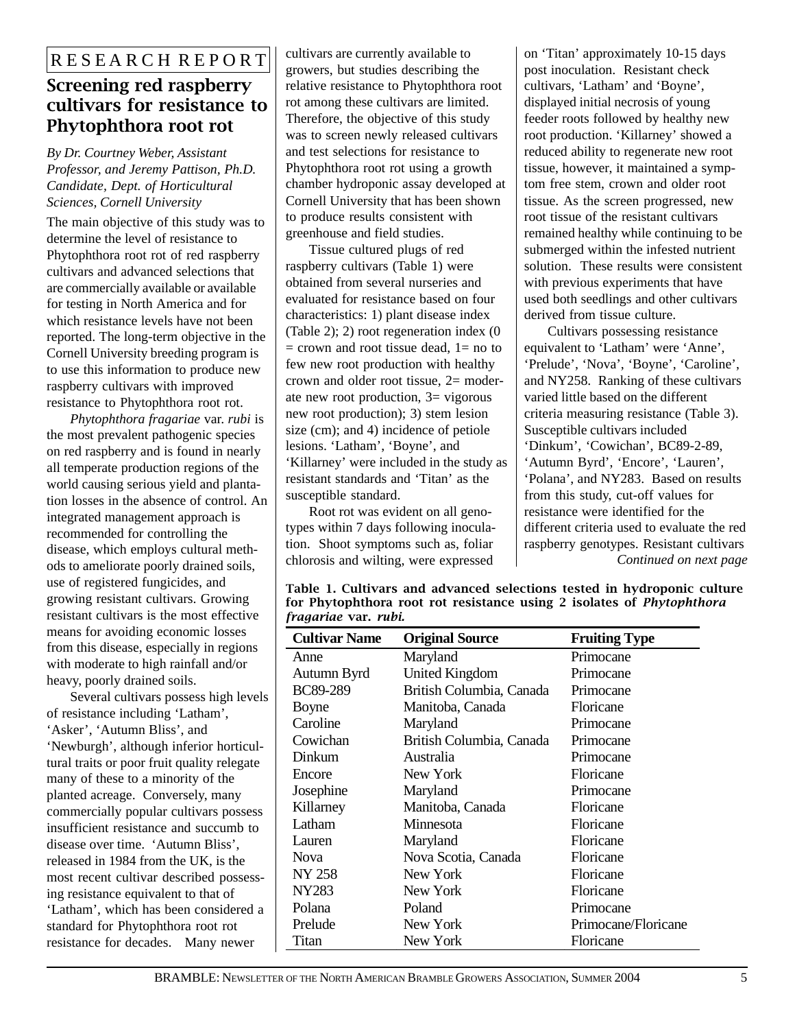### Screening red raspberry cultivars for resistance to Phytophthora root rot

*By Dr. Courtney Weber, Assistant Professor, and Jeremy Pattison, Ph.D. Candidate, Dept. of Horticultural Sciences, Cornell University*

The main objective of this study was to determine the level of resistance to Phytophthora root rot of red raspberry cultivars and advanced selections that are commercially available or available for testing in North America and for which resistance levels have not been reported. The long-term objective in the Cornell University breeding program is to use this information to produce new raspberry cultivars with improved resistance to Phytophthora root rot.

*Phytophthora fragariae* var. *rubi* is the most prevalent pathogenic species on red raspberry and is found in nearly all temperate production regions of the world causing serious yield and plantation losses in the absence of control. An integrated management approach is recommended for controlling the disease, which employs cultural methods to ameliorate poorly drained soils, use of registered fungicides, and growing resistant cultivars. Growing resistant cultivars is the most effective means for avoiding economic losses from this disease, especially in regions with moderate to high rainfall and/or heavy, poorly drained soils.

Several cultivars possess high levels of resistance including 'Latham', 'Asker', 'Autumn Bliss', and 'Newburgh', although inferior horticultural traits or poor fruit quality relegate many of these to a minority of the planted acreage. Conversely, many commercially popular cultivars possess insufficient resistance and succumb to disease over time. 'Autumn Bliss', released in 1984 from the UK, is the most recent cultivar described possessing resistance equivalent to that of 'Latham', which has been considered a standard for Phytophthora root rot resistance for decades. Many newer

cultivars are currently available to growers, but studies describing the relative resistance to Phytophthora root rot among these cultivars are limited. Therefore, the objective of this study was to screen newly released cultivars and test selections for resistance to Phytophthora root rot using a growth chamber hydroponic assay developed at Cornell University that has been shown to produce results consistent with greenhouse and field studies.

Tissue cultured plugs of red raspberry cultivars (Table 1) were obtained from several nurseries and evaluated for resistance based on four characteristics: 1) plant disease index (Table 2); 2) root regeneration index (0  $=$  crown and root tissue dead,  $1=$  no to few new root production with healthy crown and older root tissue, 2= moderate new root production, 3= vigorous new root production); 3) stem lesion size (cm); and 4) incidence of petiole lesions. 'Latham', 'Boyne', and 'Killarney' were included in the study as resistant standards and 'Titan' as the susceptible standard.

Root rot was evident on all genotypes within 7 days following inoculation. Shoot symptoms such as, foliar chlorosis and wilting, were expressed

on 'Titan' approximately 10-15 days post inoculation. Resistant check cultivars, 'Latham' and 'Boyne', displayed initial necrosis of young feeder roots followed by healthy new root production. 'Killarney' showed a reduced ability to regenerate new root tissue, however, it maintained a symptom free stem, crown and older root tissue. As the screen progressed, new root tissue of the resistant cultivars remained healthy while continuing to be submerged within the infested nutrient solution. These results were consistent with previous experiments that have used both seedlings and other cultivars derived from tissue culture.

Cultivars possessing resistance equivalent to 'Latham' were 'Anne', 'Prelude', 'Nova', 'Boyne', 'Caroline', and NY258. Ranking of these cultivars varied little based on the different criteria measuring resistance (Table 3). Susceptible cultivars included 'Dinkum', 'Cowichan', BC89-2-89, 'Autumn Byrd', 'Encore', 'Lauren', 'Polana', and NY283. Based on results from this study, cut-off values for resistance were identified for the different criteria used to evaluate the red raspberry genotypes. Resistant cultivars *Continued on next page*

| <b>Cultivar Name</b> | <b>Original Source</b>   | <b>Fruiting Type</b> |  |  |
|----------------------|--------------------------|----------------------|--|--|
| Anne                 | Maryland                 | Primocane            |  |  |
| Autumn Byrd          | <b>United Kingdom</b>    | Primocane            |  |  |
| <b>BC89-289</b>      | British Columbia, Canada | Primocane            |  |  |
| Boyne                | Manitoba, Canada         | Floricane            |  |  |
| Caroline             | Maryland                 | Primocane            |  |  |
| Cowichan             | British Columbia, Canada | Primocane            |  |  |
| Dinkum               | Australia                | Primocane            |  |  |
| Encore               | New York                 | Floricane            |  |  |
| Josephine            | Maryland                 | Primocane            |  |  |
| Killarney            | Manitoba, Canada         | Floricane            |  |  |
| Latham               | Minnesota                | Floricane            |  |  |
| Lauren               | Maryland                 | Floricane            |  |  |
| <b>Nova</b>          | Nova Scotia, Canada      | Floricane            |  |  |
| <b>NY 258</b>        | New York                 | Floricane            |  |  |
| NY283                | New York                 | Floricane            |  |  |
| Polana               | Poland                   | Primocane            |  |  |
| Prelude              | New York                 | Primocane/Floricane  |  |  |
| Titan                | New York                 | Floricane            |  |  |

Table 1. Cultivars and advanced selections tested in hydroponic culture for Phytophthora root rot resistance using 2 isolates of *Phytophthora fragariae* var. *rubi.*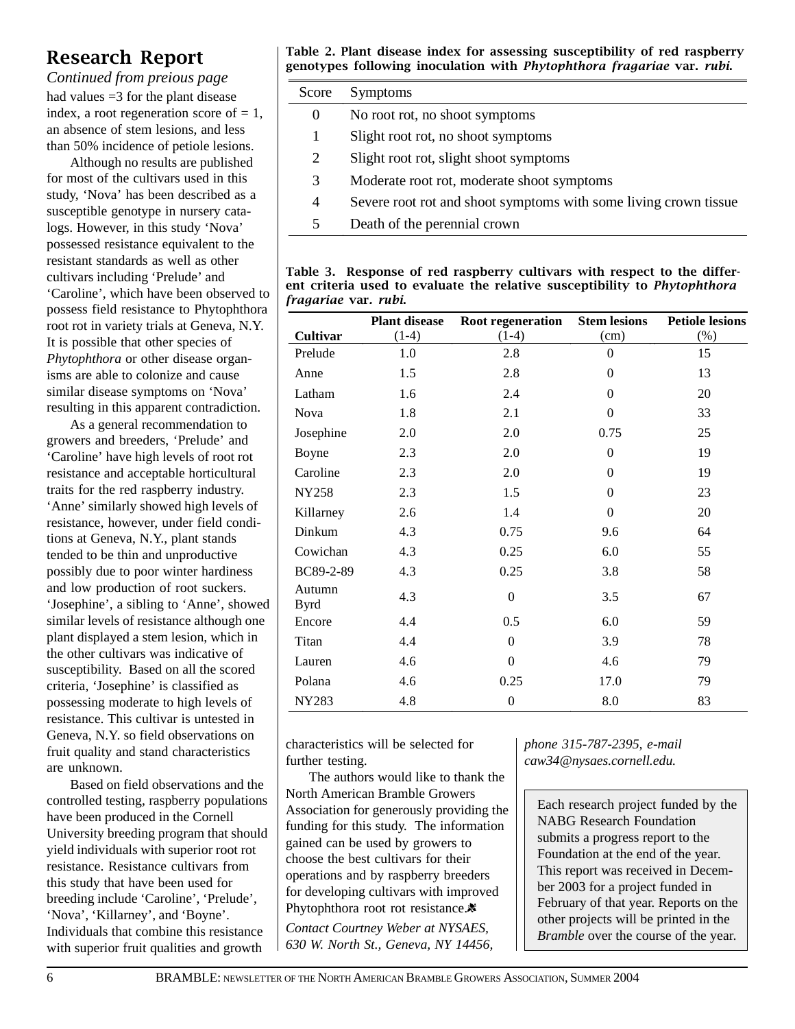### Research Report

had values =3 for the plant disease index, a root regeneration score of  $= 1$ , an absence of stem lesions, and less than 50% incidence of petiole lesions. *Continued from preious page*

Although no results are published for most of the cultivars used in this study, 'Nova' has been described as a susceptible genotype in nursery catalogs. However, in this study 'Nova' possessed resistance equivalent to the resistant standards as well as other cultivars including 'Prelude' and 'Caroline', which have been observed to possess field resistance to Phytophthora root rot in variety trials at Geneva, N.Y. It is possible that other species of *Phytophthora* or other disease organisms are able to colonize and cause similar disease symptoms on 'Nova' resulting in this apparent contradiction.

As a general recommendation to growers and breeders, 'Prelude' and 'Caroline' have high levels of root rot resistance and acceptable horticultural traits for the red raspberry industry. 'Anne' similarly showed high levels of resistance, however, under field conditions at Geneva, N.Y., plant stands tended to be thin and unproductive possibly due to poor winter hardiness and low production of root suckers. 'Josephine', a sibling to 'Anne', showed similar levels of resistance although one plant displayed a stem lesion, which in the other cultivars was indicative of susceptibility. Based on all the scored criteria, 'Josephine' is classified as possessing moderate to high levels of resistance. This cultivar is untested in Geneva, N.Y. so field observations on fruit quality and stand characteristics are unknown.

Based on field observations and the controlled testing, raspberry populations have been produced in the Cornell University breeding program that should yield individuals with superior root rot resistance. Resistance cultivars from this study that have been used for breeding include 'Caroline', 'Prelude', 'Nova', 'Killarney', and 'Boyne'. Individuals that combine this resistance with superior fruit qualities and growth

Table 2. Plant disease index for assessing susceptibility of red raspberry genotypes following inoculation with Phytophthora fragariae var. rubi.

| Score    | <b>Symptoms</b>                                                  |
|----------|------------------------------------------------------------------|
| $\theta$ | No root rot, no shoot symptoms                                   |
| 1        | Slight root rot, no shoot symptoms                               |
| 2        | Slight root rot, slight shoot symptoms                           |
| 3        | Moderate root rot, moderate shoot symptoms                       |
| 4        | Severe root rot and shoot symptoms with some living crown tissue |
| 5        | Death of the perennial crown                                     |

| Table 3. Response of red raspberry cultivars with respect to the differ-         |  |  |  |  |
|----------------------------------------------------------------------------------|--|--|--|--|
| ent criteria used to evaluate the relative susceptibility to <i>Phytophthora</i> |  |  |  |  |
| <i>fragariae</i> var. <i>rubi.</i>                                               |  |  |  |  |

|                       | <b>Plant disease</b> | Root regeneration | <b>Stem lesions</b> | <b>Petiole lesions</b> |
|-----------------------|----------------------|-------------------|---------------------|------------------------|
| <b>Cultivar</b>       | $(1-4)$              | $(1-4)$           | (cm)                | $(\% )$                |
| Prelude               | 1.0                  | 2.8               | $\boldsymbol{0}$    | 15                     |
| Anne                  | 1.5                  | 2.8               | $\mathbf{0}$        | 13                     |
| Latham                | 1.6                  | 2.4               | $\theta$            | 20                     |
| Nova                  | 1.8                  | 2.1               | $\boldsymbol{0}$    | 33                     |
| Josephine             | 2.0                  | 2.0               | 0.75                | 25                     |
| Boyne                 | 2.3                  | 2.0               | $\theta$            | 19                     |
| Caroline              | 2.3                  | 2.0               | $\Omega$            | 19                     |
| <b>NY258</b>          | 2.3                  | 1.5               | $\Omega$            | 23                     |
| Killarney             | 2.6                  | 1.4               | $\boldsymbol{0}$    | 20                     |
| Dinkum                | 4.3                  | 0.75              | 9.6                 | 64                     |
| Cowichan              | 4.3                  | 0.25              | 6.0                 | 55                     |
| BC89-2-89             | 4.3                  | 0.25              | 3.8                 | 58                     |
| Autumn<br><b>Byrd</b> | 4.3                  | $\boldsymbol{0}$  | 3.5                 | 67                     |
| Encore                | 4.4                  | 0.5               | 6.0                 | 59                     |
| Titan                 | 4.4                  | $\theta$          | 3.9                 | 78                     |
| Lauren                | 4.6                  | $\boldsymbol{0}$  | 4.6                 | 79                     |
| Polana                | 4.6                  | 0.25              | 17.0                | 79                     |
| <b>NY283</b>          | 4.8                  | $\boldsymbol{0}$  | 8.0                 | 83                     |

characteristics will be selected for further testing.

The authors would like to thank the North American Bramble Growers Association for generously providing the funding for this study. The information gained can be used by growers to choose the best cultivars for their operations and by raspberry breeders for developing cultivars with improved Phytophthora root rot resistance.<sup>\*</sup> *Contact Courtney Weber at NYSAES, 630 W. North St., Geneva, NY 14456,*

*phone 315-787-2395, e-mail caw34@nysaes.cornell.edu.*

Each research project funded by the NABG Research Foundation submits a progress report to the Foundation at the end of the year. This report was received in December 2003 for a project funded in February of that year. Reports on the other projects will be printed in the *Bramble* over the course of the year.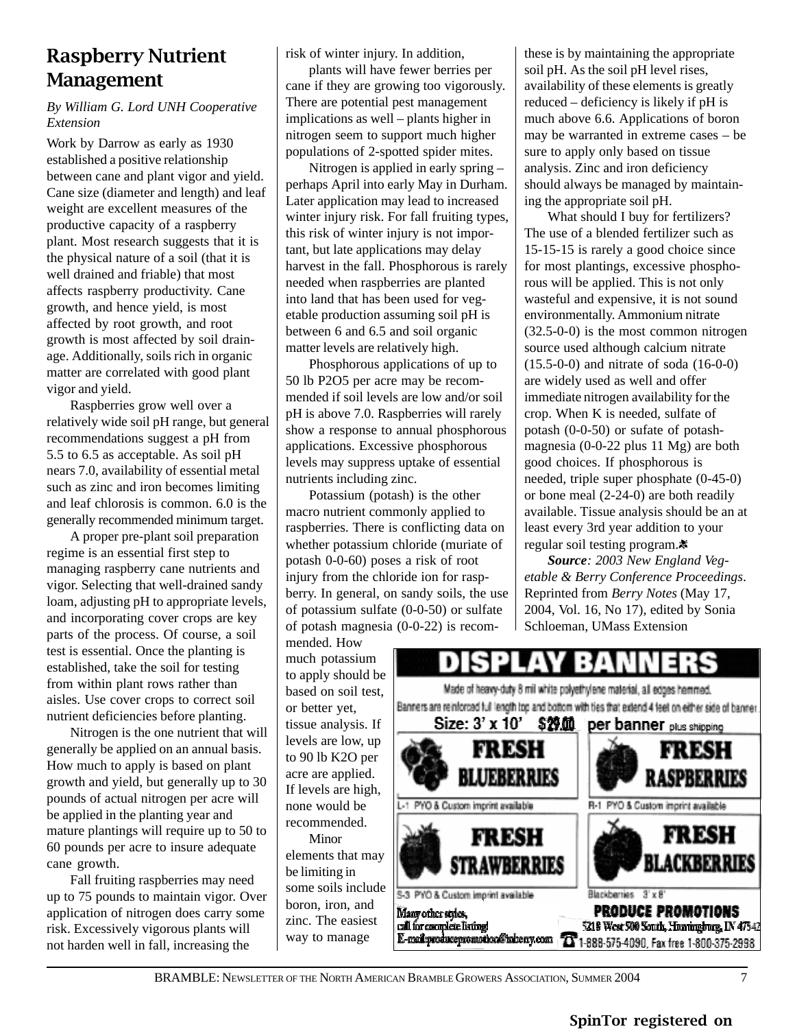### Raspberry Nutrient Management

#### *By William G. Lord UNH Cooperative Extension*

Work by Darrow as early as 1930 established a positive relationship between cane and plant vigor and yield. Cane size (diameter and length) and leaf weight are excellent measures of the productive capacity of a raspberry plant. Most research suggests that it is the physical nature of a soil (that it is well drained and friable) that most affects raspberry productivity. Cane growth, and hence yield, is most affected by root growth, and root growth is most affected by soil drainage. Additionally, soils rich in organic matter are correlated with good plant vigor and yield.

Raspberries grow well over a relatively wide soil pH range, but general recommendations suggest a pH from 5.5 to 6.5 as acceptable. As soil pH nears 7.0, availability of essential metal such as zinc and iron becomes limiting and leaf chlorosis is common. 6.0 is the generally recommended minimum target.

A proper pre-plant soil preparation regime is an essential first step to managing raspberry cane nutrients and vigor. Selecting that well-drained sandy loam, adjusting pH to appropriate levels, and incorporating cover crops are key parts of the process. Of course, a soil test is essential. Once the planting is established, take the soil for testing from within plant rows rather than aisles. Use cover crops to correct soil nutrient deficiencies before planting.

Nitrogen is the one nutrient that will generally be applied on an annual basis. How much to apply is based on plant growth and yield, but generally up to 30 pounds of actual nitrogen per acre will be applied in the planting year and mature plantings will require up to 50 to 60 pounds per acre to insure adequate cane growth.

Fall fruiting raspberries may need up to 75 pounds to maintain vigor. Over application of nitrogen does carry some risk. Excessively vigorous plants will not harden well in fall, increasing the

risk of winter injury. In addition,

plants will have fewer berries per cane if they are growing too vigorously. There are potential pest management implications as well – plants higher in nitrogen seem to support much higher populations of 2-spotted spider mites.

Nitrogen is applied in early spring – perhaps April into early May in Durham. Later application may lead to increased winter injury risk. For fall fruiting types, this risk of winter injury is not important, but late applications may delay harvest in the fall. Phosphorous is rarely needed when raspberries are planted into land that has been used for vegetable production assuming soil pH is between 6 and 6.5 and soil organic matter levels are relatively high.

Phosphorous applications of up to 50 lb P2O5 per acre may be recommended if soil levels are low and/or soil pH is above 7.0. Raspberries will rarely show a response to annual phosphorous applications. Excessive phosphorous levels may suppress uptake of essential nutrients including zinc.

Potassium (potash) is the other macro nutrient commonly applied to raspberries. There is conflicting data on whether potassium chloride (muriate of potash 0-0-60) poses a risk of root injury from the chloride ion for raspberry. In general, on sandy soils, the use of potassium sulfate (0-0-50) or sulfate of potash magnesia (0-0-22) is recom-

mended. How much potassium to apply should be based on soil test, or better yet, tissue analysis. If levels are low, up to 90 lb K2O per acre are applied. If levels are high, none would be recommended.

Minor elements that may be limiting in some soils include boron, iron, and zinc. The easiest way to manage

these is by maintaining the appropriate soil pH. As the soil pH level rises, availability of these elements is greatly reduced – deficiency is likely if pH is much above 6.6. Applications of boron may be warranted in extreme cases – be sure to apply only based on tissue analysis. Zinc and iron deficiency should always be managed by maintaining the appropriate soil pH.

What should I buy for fertilizers? The use of a blended fertilizer such as 15-15-15 is rarely a good choice since for most plantings, excessive phosphorous will be applied. This is not only wasteful and expensive, it is not sound environmentally. Ammonium nitrate (32.5-0-0) is the most common nitrogen source used although calcium nitrate (15.5-0-0) and nitrate of soda (16-0-0) are widely used as well and offer immediate nitrogen availability for the crop. When K is needed, sulfate of potash (0-0-50) or sufate of potashmagnesia (0-0-22 plus 11 Mg) are both good choices. If phosphorous is needed, triple super phosphate (0-45-0) or bone meal (2-24-0) are both readily available. Tissue analysis should be an at least every 3rd year addition to your regular soil testing program.

*Source: 2003 New England Vegetable & Berry Conference Proceedings*. Reprinted from *Berry Notes* (May 17, 2004, Vol. 16, No 17), edited by Sonia Schloeman, UMass Extension

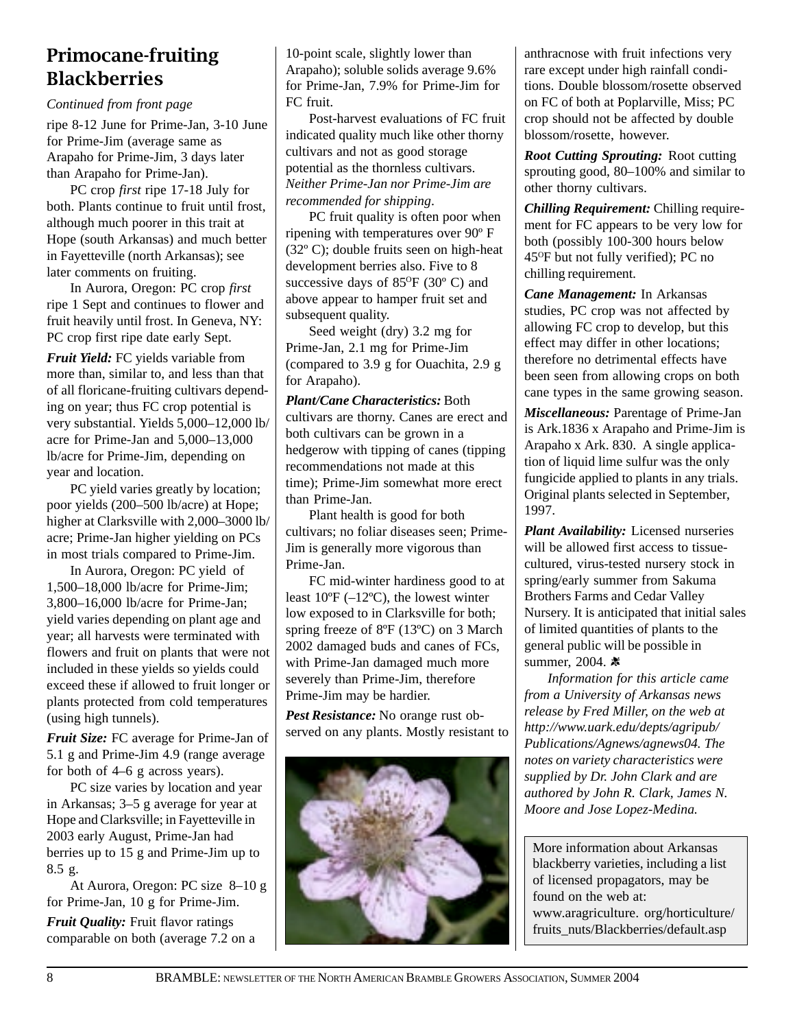### Primocane-fruiting Blackberries

*Continued from front page*

ripe 8-12 June for Prime-Jan, 3-10 June for Prime-Jim (average same as Arapaho for Prime-Jim, 3 days later than Arapaho for Prime-Jan).

PC crop *first* ripe 17-18 July for both. Plants continue to fruit until frost, although much poorer in this trait at Hope (south Arkansas) and much better in Fayetteville (north Arkansas); see later comments on fruiting.

In Aurora, Oregon: PC crop *first* ripe 1 Sept and continues to flower and fruit heavily until frost. In Geneva, NY: PC crop first ripe date early Sept.

*Fruit Yield:* FC yields variable from more than, similar to, and less than that of all floricane-fruiting cultivars depending on year; thus FC crop potential is very substantial. Yields 5,000–12,000 lb/ acre for Prime-Jan and 5,000–13,000 lb/acre for Prime-Jim, depending on year and location.

PC yield varies greatly by location; poor yields (200–500 lb/acre) at Hope; higher at Clarksville with 2,000–3000 lb/ acre; Prime-Jan higher yielding on PCs in most trials compared to Prime-Jim.

In Aurora, Oregon: PC yield of 1,500–18,000 lb/acre for Prime-Jim; 3,800–16,000 lb/acre for Prime-Jan; yield varies depending on plant age and year; all harvests were terminated with flowers and fruit on plants that were not included in these yields so yields could exceed these if allowed to fruit longer or plants protected from cold temperatures (using high tunnels).

*Fruit Size:* FC average for Prime-Jan of 5.1 g and Prime-Jim 4.9 (range average for both of 4–6 g across years).

PC size varies by location and year in Arkansas; 3–5 g average for year at Hope and Clarksville; in Fayetteville in 2003 early August, Prime-Jan had berries up to 15 g and Prime-Jim up to 8.5 g.

At Aurora, Oregon: PC size 8–10 g for Prime-Jan, 10 g for Prime-Jim.

*Fruit Quality:* Fruit flavor ratings comparable on both (average 7.2 on a

10-point scale, slightly lower than Arapaho); soluble solids average 9.6% for Prime-Jan, 7.9% for Prime-Jim for FC fruit.

Post-harvest evaluations of FC fruit indicated quality much like other thorny cultivars and not as good storage potential as the thornless cultivars. *Neither Prime-Jan nor Prime-Jim are recommended for shipping*.

PC fruit quality is often poor when ripening with temperatures over 90º F (32º C); double fruits seen on high-heat development berries also. Five to 8 successive days of  $85^{\circ}F$  (30 $^{\circ}$  C) and above appear to hamper fruit set and subsequent quality.

Seed weight (dry) 3.2 mg for Prime-Jan, 2.1 mg for Prime-Jim (compared to 3.9 g for Ouachita, 2.9 g for Arapaho).

*Plant/Cane Characteristics:* Both cultivars are thorny. Canes are erect and both cultivars can be grown in a hedgerow with tipping of canes (tipping recommendations not made at this time); Prime-Jim somewhat more erect than Prime-Jan.

Plant health is good for both cultivars; no foliar diseases seen; Prime-Jim is generally more vigorous than Prime-Jan.

FC mid-winter hardiness good to at least  $10^{\circ}F(-12^{\circ}C)$ , the lowest winter low exposed to in Clarksville for both; spring freeze of 8ºF (13ºC) on 3 March 2002 damaged buds and canes of FCs, with Prime-Jan damaged much more severely than Prime-Jim, therefore Prime-Jim may be hardier.

*Pest Resistance:* No orange rust observed on any plants. Mostly resistant to



anthracnose with fruit infections very rare except under high rainfall conditions. Double blossom/rosette observed on FC of both at Poplarville, Miss; PC crop should not be affected by double blossom/rosette, however.

*Root Cutting Sprouting:* Root cutting sprouting good, 80–100% and similar to other thorny cultivars.

*Chilling Requirement:* Chilling requirement for FC appears to be very low for both (possibly 100-300 hours below 45OF but not fully verified); PC no chilling requirement.

*Cane Management:* In Arkansas studies, PC crop was not affected by allowing FC crop to develop, but this effect may differ in other locations; therefore no detrimental effects have been seen from allowing crops on both cane types in the same growing season.

*Miscellaneous:* Parentage of Prime-Jan is Ark.1836 x Arapaho and Prime-Jim is Arapaho x Ark. 830. A single application of liquid lime sulfur was the only fungicide applied to plants in any trials. Original plants selected in September, 1997.

*Plant Availability:* Licensed nurseries will be allowed first access to tissuecultured, virus-tested nursery stock in spring/early summer from Sakuma Brothers Farms and Cedar Valley Nursery. It is anticipated that initial sales of limited quantities of plants to the general public will be possible in summer, 2004. \*

*Information for this article came from a University of Arkansas news release by Fred Miller, on the web at http://www.uark.edu/depts/agripub/ Publications/Agnews/agnews04. The notes on variety characteristics were supplied by Dr. John Clark and are authored by John R. Clark, James N. Moore and Jose Lopez-Medina.*

More information about Arkansas blackberry varieties, including a list of licensed propagators, may be found on the web at: www.aragriculture. org/horticulture/ fruits\_nuts/Blackberries/default.asp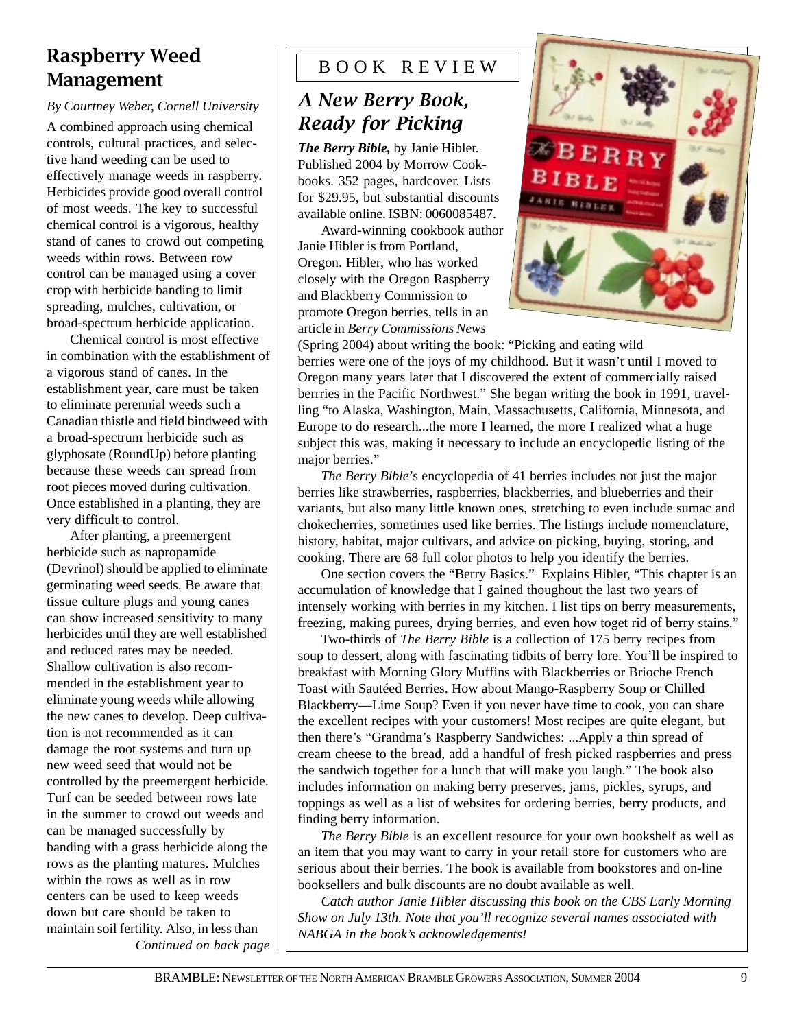### Raspberry Weed Management

#### *By Courtney Weber, Cornell University*

A combined approach using chemical controls, cultural practices, and selective hand weeding can be used to effectively manage weeds in raspberry. Herbicides provide good overall control of most weeds. The key to successful chemical control is a vigorous, healthy stand of canes to crowd out competing weeds within rows. Between row control can be managed using a cover crop with herbicide banding to limit spreading, mulches, cultivation, or broad-spectrum herbicide application.

Chemical control is most effective in combination with the establishment of a vigorous stand of canes. In the establishment year, care must be taken to eliminate perennial weeds such a Canadian thistle and field bindweed with a broad-spectrum herbicide such as glyphosate (RoundUp) before planting because these weeds can spread from root pieces moved during cultivation. Once established in a planting, they are very difficult to control.

After planting, a preemergent herbicide such as napropamide (Devrinol) should be applied to eliminate germinating weed seeds. Be aware that tissue culture plugs and young canes can show increased sensitivity to many herbicides until they are well established and reduced rates may be needed. Shallow cultivation is also recommended in the establishment year to eliminate young weeds while allowing the new canes to develop. Deep cultivation is not recommended as it can damage the root systems and turn up new weed seed that would not be controlled by the preemergent herbicide. Turf can be seeded between rows late in the summer to crowd out weeds and can be managed successfully by banding with a grass herbicide along the rows as the planting matures. Mulches within the rows as well as in row centers can be used to keep weeds down but care should be taken to maintain soil fertility. Also, in less than

### B O O K R E V I E W

### A New Berry Book, **Ready for Picking**

*The Berry Bible,* by Janie Hibler. Published 2004 by Morrow Cookbooks. 352 pages, hardcover. Lists for \$29.95, but substantial discounts available online. ISBN: 0060085487.

Award-winning cookbook author Janie Hibler is from Portland, Oregon. Hibler, who has worked closely with the Oregon Raspberry and Blackberry Commission to promote Oregon berries, tells in an article in *Berry Commissions News*



(Spring 2004) about writing the book: "Picking and eating wild berries were one of the joys of my childhood. But it wasn't until I moved to Oregon many years later that I discovered the extent of commercially raised berrries in the Pacific Northwest." She began writing the book in 1991, travelling "to Alaska, Washington, Main, Massachusetts, California, Minnesota, and Europe to do research...the more I learned, the more I realized what a huge subject this was, making it necessary to include an encyclopedic listing of the major berries."

*The Berry Bible*'s encyclopedia of 41 berries includes not just the major berries like strawberries, raspberries, blackberries, and blueberries and their variants, but also many little known ones, stretching to even include sumac and chokecherries, sometimes used like berries. The listings include nomenclature, history, habitat, major cultivars, and advice on picking, buying, storing, and cooking. There are 68 full color photos to help you identify the berries.

One section covers the "Berry Basics." Explains Hibler, "This chapter is an accumulation of knowledge that I gained thoughout the last two years of intensely working with berries in my kitchen. I list tips on berry measurements, freezing, making purees, drying berries, and even how toget rid of berry stains."

Two-thirds of *The Berry Bible* is a collection of 175 berry recipes from soup to dessert, along with fascinating tidbits of berry lore. You'll be inspired to breakfast with Morning Glory Muffins with Blackberries or Brioche French Toast with Sautéed Berries. How about Mango-Raspberry Soup or Chilled Blackberry—Lime Soup? Even if you never have time to cook, you can share the excellent recipes with your customers! Most recipes are quite elegant, but then there's "Grandma's Raspberry Sandwiches: ...Apply a thin spread of cream cheese to the bread, add a handful of fresh picked raspberries and press the sandwich together for a lunch that will make you laugh." The book also includes information on making berry preserves, jams, pickles, syrups, and toppings as well as a list of websites for ordering berries, berry products, and finding berry information.

*The Berry Bible* is an excellent resource for your own bookshelf as well as an item that you may want to carry in your retail store for customers who are serious about their berries. The book is available from bookstores and on-line booksellers and bulk discounts are no doubt available as well.

*Catch author Janie Hibler discussing this book on the CBS Early Morning Show on July 13th. Note that you'll recognize several names associated with NABGA in the book's acknowledgements! Continued on back page*